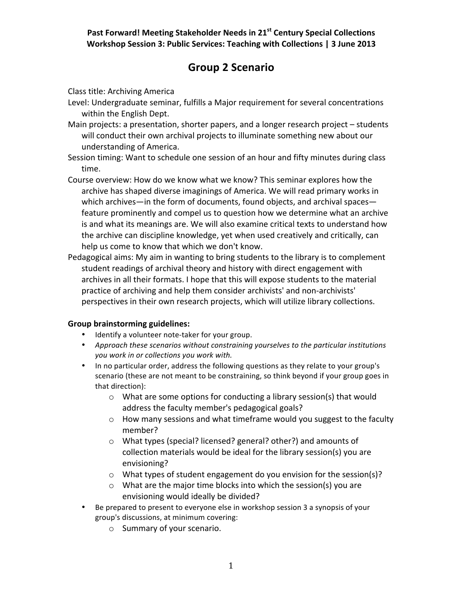Past Forward! Meeting Stakeholder Needs in 21<sup>st</sup> Century Special Collections **Workshop Session 3: Public Services: Teaching with Collections | 3 June 2013** 

## **Group%2 Scenario**

Class title: Archiving America

- Level: Undergraduate seminar, fulfills a Major requirement for several concentrations within the English Dept.
- Main projects: a presentation, shorter papers, and a longer research project students will conduct their own archival projects to illuminate something new about our understanding of America.
- Session timing: Want to schedule one session of an hour and fifty minutes during class time.
- Course overview: How do we know what we know? This seminar explores how the archive has shaped diverse imaginings of America. We will read primary works in which archives—in the form of documents, found objects, and archival spaces feature prominently and compel us to question how we determine what an archive is and what its meanings are. We will also examine critical texts to understand how the archive can discipline knowledge, yet when used creatively and critically, can help us come to know that which we don't know.
- Pedagogical aims: My aim in wanting to bring students to the library is to complement student readings of archival theory and history with direct engagement with archives in all their formats. I hope that this will expose students to the material practice of archiving and help them consider archivists' and non-archivists' perspectives in their own research projects, which will utilize library collections.

## **Group brainstorming guidelines:**

- Identify a volunteer note-taker for your group.
- Approach these scenarios without constraining yourselves to the particular institutions you work in or collections you work with.
- In no particular order, address the following questions as they relate to your group's scenario (these are not meant to be constraining, so think beyond if your group goes in that direction):
	- $\circ$  What are some options for conducting a library session(s) that would address the faculty member's pedagogical goals?
	- $\circ$  How many sessions and what timeframe would you suggest to the faculty member?
	- $\circ$  What types (special? licensed? general? other?) and amounts of collection materials would be ideal for the library session(s) you are envisioning?
	- $\circ$  What types of student engagement do you envision for the session(s)?
	- $\circ$  What are the major time blocks into which the session(s) you are envisioning would ideally be divided?
- Be prepared to present to everyone else in workshop session 3 a synopsis of your group's discussions, at minimum covering:
	- $\circ$  Summary of your scenario.